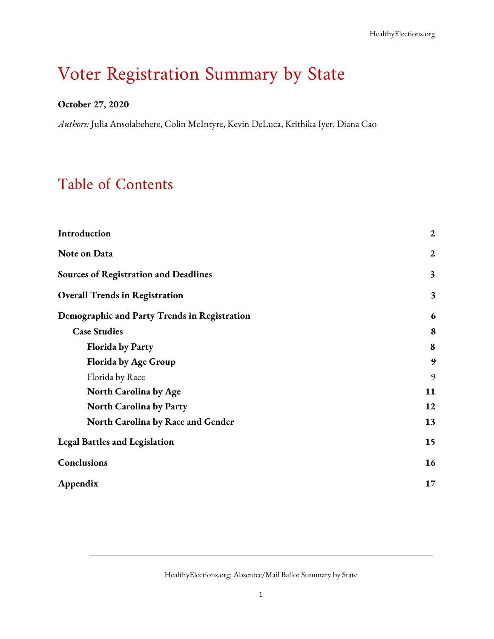# Voter Registration Summary by State

#### **October 27, 2020**

*Authors:* Julia Ansolabehere, Colin McIntyre, Kevin DeLuca, Krithika Iyer, Diana Cao

### Table of Contents

| Introduction                                 | $\boldsymbol{2}$ |  |  |  |  |
|----------------------------------------------|------------------|--|--|--|--|
| Note on Data                                 | $\boldsymbol{2}$ |  |  |  |  |
| <b>Sources of Registration and Deadlines</b> | 3                |  |  |  |  |
| <b>Overall Trends in Registration</b>        | 3                |  |  |  |  |
| Demographic and Party Trends in Registration | 6                |  |  |  |  |
| <b>Case Studies</b>                          | 8                |  |  |  |  |
| <b>Florida by Party</b>                      | 8                |  |  |  |  |
| <b>Florida by Age Group</b>                  | 9                |  |  |  |  |
| Florida by Race                              | 9                |  |  |  |  |
| North Carolina by Age                        | 11               |  |  |  |  |
| North Carolina by Party                      | 12               |  |  |  |  |
| North Carolina by Race and Gender            | 13               |  |  |  |  |
| <b>Legal Battles and Legislation</b>         | 15               |  |  |  |  |
| Conclusions                                  | 16               |  |  |  |  |
| Appendix                                     |                  |  |  |  |  |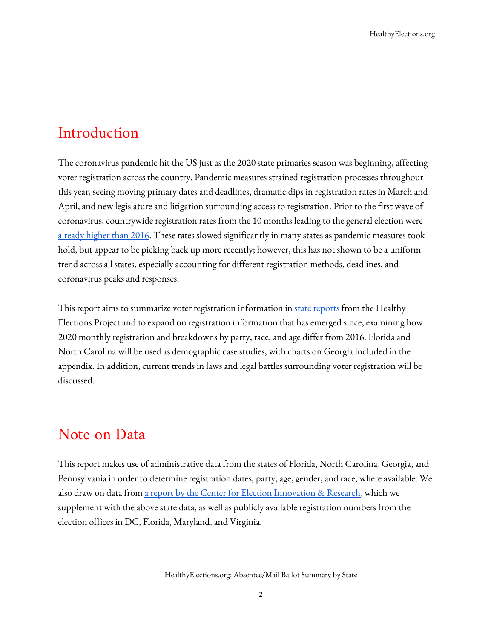### <span id="page-1-0"></span>Introduction

The coronavirus pandemic hit the US just as the 2020 state primaries season was beginning, affecting voter registration across the country. Pandemic measures strained registration processes throughout this year, seeing moving primary dates and deadlines, dramatic dips in registration rates in March and April, and new legislature and litigation surrounding access to registration. Prior to the first wave of coronavirus, countrywide registration rates from the 10 months leading to the general election were [already](https://insights.targetsmart.com/an-early-look-at-the-impact-of-the-covid-19-pandemic-on-voter-registration.html) higher than 2016. These rates slowed significantly in many states as pandemic measures took hold, but appear to be picking back up more recently; however, this has not shown to be a uniform trend across all states, especially accounting for different registration methods, deadlines, and coronavirus peaks and responses.

This report aims to summarize voter registration information in <u>state [reports](https://healthyelections.org/state-updates)</u> from the Healthy Elections Project and to expand on registration information that has emerged since, examining how 2020 monthly registration and breakdowns by party, race, and age differ from 2016. Florida and North Carolina will be used as demographic case studies, with charts on Georgia included in the appendix. In addition, current trends in laws and legal battles surrounding voter registration will be discussed.

### <span id="page-1-1"></span>Note on Data

This report makes use of administrative data from the states of Florida, North Carolina, Georgia, and Pennsylvania in order to determine registration dates, party, age, gender, and race, where available. We also draw on data from a report by the Center for Election [Innovation](https://electioninnovation.org/new-voter-registrations-in-2020/) & Research, which we supplement with the above state data, as well as publicly available registration numbers from the election offices in DC, Florida, Maryland, and Virginia.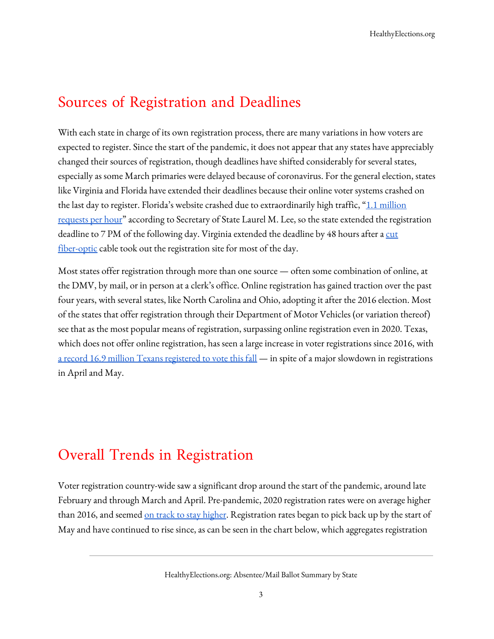### <span id="page-2-0"></span>Sources of Registration and Deadlines

With each state in charge of its own registration process, there are many variations in how voters are expected to register. Since the start of the pandemic, it does not appear that any states have appreciably changed their sources of registration, though deadlines have shifted considerably for several states, especially as some March primaries were delayed because of coronavirus. For the general election, states like Virginia and Florida have extended their deadlines because their online voter systems crashed on the last day to register. Florida's website crashed due to extraordinarily high traffic, "1.1 [million](https://www.nytimes.com/2020/10/06/us/florida-registration-voter-crash.html) [requests](https://www.nytimes.com/2020/10/06/us/florida-registration-voter-crash.html) per hour" according to Secretary of State Laurel M. Lee, so the state extended the registration deadline to 7 PM of the following day. Virginia extended the deadline by 48 hours after a [cut](https://www.cnn.com/2020/10/13/politics/virginia-voter-registration-system-election-2020/index.html) [fiber-optic](https://www.cnn.com/2020/10/13/politics/virginia-voter-registration-system-election-2020/index.html) cable took out the registration site for most of the day.

Most states offer registration through more than one source — often some combination of online, at the DMV, by mail, or in person at a clerk's office. Online registration has gained traction over the past four years, with several states, like North Carolina and Ohio, adopting it after the 2016 election. Most of the states that offer registration through their Department of Motor Vehicles (or variation thereof) see that as the most popular means of registration, surpassing online registration even in 2020. Texas, which does not offer online registration, has seen a large increase in voter registrations since 2016, with a record 16.9 million Texans [registered](https://www.usatoday.com/story/news/politics/elections/2020/10/13/election-2020-texas-sets-record-new-voter-registrations-since-2016/3644506001/) to vote this fall — in spite of a major slowdown in registrations in April and May.

### <span id="page-2-1"></span>Overall Trends in Registration

Voter registration country-wide saw a significant drop around the start of the pandemic, around late February and through March and April. Pre-pandemic, 2020 registration rates were on average higher than 2016, and seemed <u>on track to stay [higher](https://insights.targetsmart.com/an-early-look-at-the-impact-of-the-covid-19-pandemic-on-voter-registration.html)</u>. Registration rates began to pick back up by the start of May and have continued to rise since, as can be seen in the chart below, which aggregates registration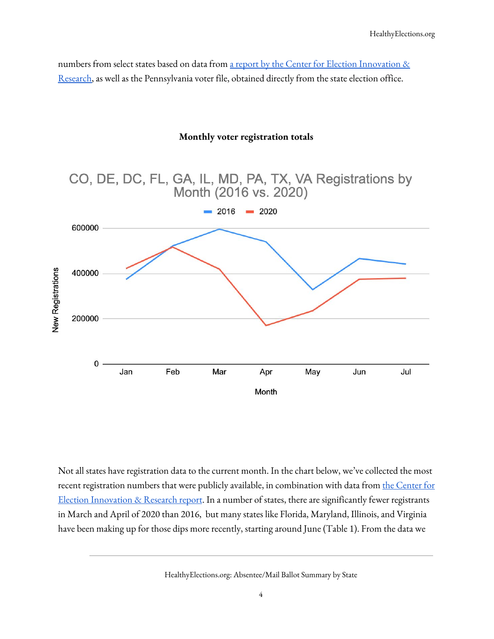numbers from select states based on data from a report by the Center for Election [Innovation](https://electioninnovation.org/new-voter-registrations-in-2020/) & [Research,](https://electioninnovation.org/new-voter-registrations-in-2020/) as well as the Pennsylvania voter file, obtained directly from the state election office.



Not all states have registration data to the current month. In the chart below, we've collected the most recent registration numbers that were publicly available, in combination with data from the [Center](https://electioninnovation.org/new-voter-registrations-in-2020/) for Election [Innovation](https://electioninnovation.org/new-voter-registrations-in-2020/) & Research report. In a number of states, there are significantly fewer registrants in March and April of 2020 than 2016, but many states like Florida, Maryland, Illinois, and Virginia have been making up for those dips more recently, starting around June (Table 1). From the data we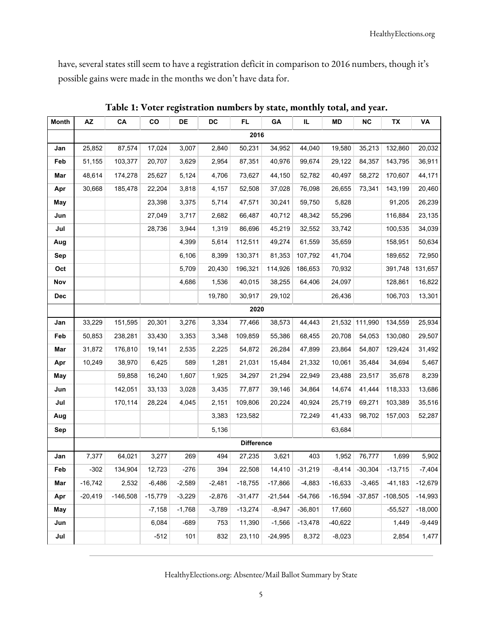have, several states still seem to have a registration deficit in comparison to 2016 numbers, though it's possible gains were made in the months we don't have data for.

| Month | AZ        | CA         | CO        | DE       | DC       | <b>FL</b>         | <b>GA</b> | IL        | MD        | <b>NC</b> | TX         | VA        |  |
|-------|-----------|------------|-----------|----------|----------|-------------------|-----------|-----------|-----------|-----------|------------|-----------|--|
|       | 2016      |            |           |          |          |                   |           |           |           |           |            |           |  |
| Jan   | 25,852    | 87,574     | 17,024    | 3,007    | 2,840    | 50,231            | 34,952    | 44,040    | 19,580    | 35,213    | 132,860    | 20,032    |  |
| Feb   | 51,155    | 103,377    | 20,707    | 3,629    | 2,954    | 87,351            | 40,976    | 99,674    | 29,122    | 84,357    | 143,795    | 36,911    |  |
| Mar   | 48,614    | 174,278    | 25,627    | 5,124    | 4,706    | 73,627            | 44,150    | 52,782    | 40,497    | 58,272    | 170,607    | 44,171    |  |
| Apr   | 30,668    | 185,478    | 22,204    | 3,818    | 4,157    | 52,508            | 37,028    | 76,098    | 26,655    | 73,341    | 143,199    | 20,460    |  |
| May   |           |            | 23,398    | 3,375    | 5,714    | 47,571            | 30,241    | 59,750    | 5,828     |           | 91,205     | 26,239    |  |
| Jun   |           |            | 27,049    | 3,717    | 2,682    | 66,487            | 40,712    | 48,342    | 55,296    |           | 116,884    | 23,135    |  |
| Jul   |           |            | 28,736    | 3,944    | 1,319    | 86,696            | 45,219    | 32,552    | 33,742    |           | 100,535    | 34,039    |  |
| Aug   |           |            |           | 4,399    | 5,614    | 112,511           | 49,274    | 61,559    | 35,659    |           | 158,951    | 50,634    |  |
| Sep   |           |            |           | 6,106    | 8,399    | 130,371           | 81,353    | 107,792   | 41,704    |           | 189,652    | 72,950    |  |
| Oct   |           |            |           | 5,709    | 20,430   | 196,321           | 114,926   | 186,653   | 70,932    |           | 391,748    | 131,657   |  |
| Nov   |           |            |           | 4,686    | 1,536    | 40,015            | 38,255    | 64,406    | 24,097    |           | 128,861    | 16,822    |  |
| Dec   |           |            |           |          | 19,780   | 30,917            | 29,102    |           | 26,436    |           | 106,703    | 13,301    |  |
|       |           |            |           |          |          | 2020              |           |           |           |           |            |           |  |
| Jan   | 33,229    | 151,595    | 20,301    | 3,276    | 3,334    | 77,466            | 38,573    | 44,443    | 21,532    | 111,990   | 134,559    | 25,934    |  |
| Feb   | 50,853    | 238,281    | 33,430    | 3,353    | 3,348    | 109,859           | 55,386    | 68,455    | 20,708    | 54,053    | 130,080    | 29,507    |  |
| Mar   | 31,872    | 176,810    | 19,141    | 2,535    | 2,225    | 54,872            | 26,284    | 47,899    | 23,864    | 54,807    | 129,424    | 31,492    |  |
| Apr   | 10,249    | 38,970     | 6,425     | 589      | 1,281    | 21,031            | 15,484    | 21,332    | 10,061    | 35,484    | 34,694     | 5,467     |  |
| May   |           | 59,858     | 16,240    | 1,607    | 1,925    | 34,297            | 21,294    | 22,949    | 23,488    | 23,517    | 35,678     | 8,239     |  |
| Jun   |           | 142,051    | 33,133    | 3,028    | 3,435    | 77,877            | 39,146    | 34,864    | 14,674    | 41,444    | 118,333    | 13,686    |  |
| Jul   |           | 170,114    | 28,224    | 4,045    | 2,151    | 109,806           | 20,224    | 40,924    | 25,719    | 69,271    | 103,389    | 35,516    |  |
| Aug   |           |            |           |          | 3,383    | 123,582           |           | 72,249    | 41,433    | 98,702    | 157,003    | 52,287    |  |
| Sep   |           |            |           |          | 5,136    |                   |           |           | 63,684    |           |            |           |  |
|       |           |            |           |          |          | <b>Difference</b> |           |           |           |           |            |           |  |
| Jan   | 7,377     | 64,021     | 3,277     | 269      | 494      | 27,235            | 3,621     | 403       | 1,952     | 76,777    | 1,699      | 5,902     |  |
| Feb   | $-302$    | 134,904    | 12,723    | $-276$   | 394      | 22,508            | 14,410    | $-31,219$ | $-8,414$  | $-30,304$ | $-13,715$  | $-7,404$  |  |
| Mar   | $-16,742$ | 2,532      | $-6,486$  | $-2,589$ | $-2,481$ | $-18,755$         | $-17,866$ | $-4,883$  | $-16,633$ | $-3,465$  | $-41,183$  | $-12,679$ |  |
| Apr   | $-20,419$ | $-146,508$ | $-15,779$ | $-3,229$ | $-2,876$ | $-31,477$         | $-21,544$ | $-54,766$ | $-16,594$ | $-37,857$ | $-108,505$ | $-14,993$ |  |
| May   |           |            | $-7,158$  | $-1,768$ | $-3,789$ | $-13,274$         | $-8,947$  | $-36,801$ | 17,660    |           | $-55,527$  | $-18,000$ |  |
| Jun   |           |            | 6,084     | $-689$   | 753      | 11,390            | $-1,566$  | $-13,478$ | $-40,622$ |           | 1,449      | $-9,449$  |  |
| Jul   |           |            | $-512$    | 101      | 832      | 23,110            | $-24,995$ | 8,372     | $-8,023$  |           | 2,854      | 1,477     |  |

**Table 1: Voter registration numbers by state, monthly total, and year.**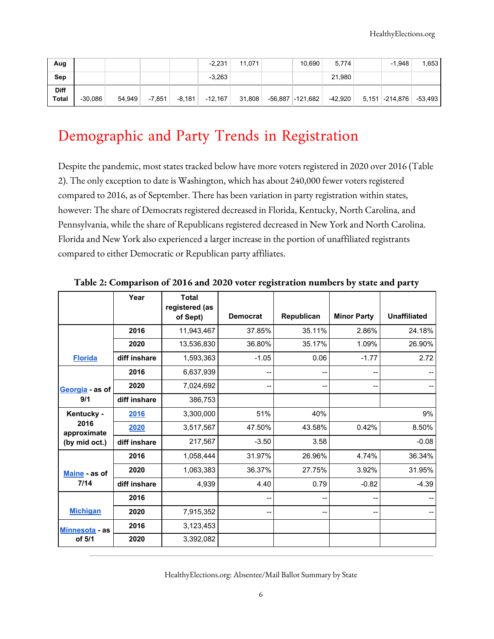| Aug                  |           |        |          |        | $-2.231$  | 11,071 | 10,690           | 5,774     | $-1.948$         | 1,653   |
|----------------------|-----------|--------|----------|--------|-----------|--------|------------------|-----------|------------------|---------|
| Sep                  |           |        |          |        | $-3,263$  |        |                  | 21,980    |                  |         |
| <b>Diff</b><br>Total | $-30,086$ | 54,949 | $-7,851$ | -8.181 | $-12.167$ | 31,808 | -56,887 -121,682 | $-42,920$ | $5,151$ -214,876 | -53,493 |

### <span id="page-5-0"></span>Demographic and Party Trends in Registration

Despite the pandemic, most states tracked below have more voters registered in 2020 over 2016 (Table 2). The only exception to date is Washington, which has about 240,000 fewer voters registered compared to 2016, as of September. There has been variation in party registration within states, however: The share of Democrats registered decreased in Florida, Kentucky, North Carolina, and Pennsylvania, while the share of Republicans registered decreased in New York and North Carolina. Florida and New York also experienced a larger increase in the portion of unaffiliated registrants compared to either Democratic or Republican party affiliates.

|                     | Year         | <b>Total</b><br>registered (as<br>of Sept) | <b>Democrat</b> | Republican | <b>Minor Party</b> | <b>Unaffiliated</b> |
|---------------------|--------------|--------------------------------------------|-----------------|------------|--------------------|---------------------|
|                     | 2016         | 11,943,467                                 | 37.85%          | 35.11%     | 2.86%              | 24.18%              |
|                     | 2020         | 13,536,830                                 | 36.80%          | 35.17%     | 1.09%              | 26.90%              |
| <b>Florida</b>      | diff inshare | 1,593,363                                  | $-1.05$         | 0.06       | $-1.77$            | 2.72                |
|                     | 2016         | 6,637,939                                  |                 |            |                    |                     |
| Georgia - as of     | 2020         | 7,024,692                                  |                 | --         | --                 |                     |
| 9/1                 | diff inshare | 386,753                                    |                 |            |                    |                     |
| Kentucky -          | 2016         | 3,300,000                                  | 51%             | 40%        |                    | 9%                  |
| 2016<br>approximate | 2020         | 3,517,567                                  | 47.50%          | 43.58%     | 0.42%              | 8.50%               |
| (by mid oct.)       | diff inshare | 217,567                                    | $-3.50$         | 3.58       |                    | $-0.08$             |
|                     | 2016         | 1,058,444                                  | 31.97%          | 26.96%     | 4.74%              | 36.34%              |
| Maine - as of       | 2020         | 1,063,383                                  | 36.37%          | 27.75%     | 3.92%              | 31.95%              |
| 7/14                | diff inshare | 4,939                                      | 4.40            | 0.79       | $-0.82$            | $-4.39$             |
|                     | 2016         |                                            |                 |            | --                 |                     |
| <b>Michigan</b>     | 2020         | 7,915,352                                  |                 | --         | --                 |                     |
| Minnesota - as      | 2016         | 3,123,453                                  |                 |            |                    |                     |
| of 5/1              | 2020         | 3,392,082                                  |                 |            |                    |                     |

**Table 2: Comparison of 2016 and 2020 voter registration numbers by state and party**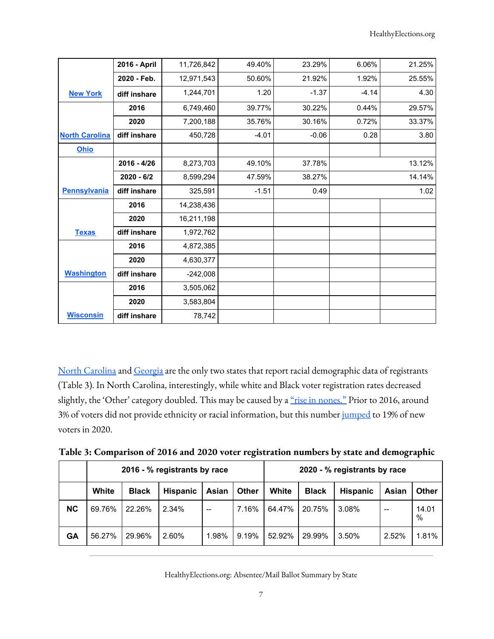|                       | 2016 - April  | 11,726,842 | 49.40%  | 23.29%  | 6.06%   | 21.25% |  |  |
|-----------------------|---------------|------------|---------|---------|---------|--------|--|--|
|                       | 2020 - Feb.   | 12,971,543 | 50.60%  | 21.92%  | 1.92%   | 25.55% |  |  |
| <b>New York</b>       | diff inshare  | 1,244,701  | 1.20    | $-1.37$ | $-4.14$ | 4.30   |  |  |
|                       | 2016          | 6,749,460  | 39.77%  | 30.22%  | 0.44%   | 29.57% |  |  |
|                       | 2020          | 7,200,188  | 35.76%  | 30.16%  | 0.72%   | 33.37% |  |  |
| <b>North Carolina</b> | diff inshare  | 450,728    | $-4.01$ | $-0.06$ | 0.28    | 3.80   |  |  |
| Ohio                  |               |            |         |         |         |        |  |  |
|                       | $2016 - 4/26$ | 8,273,703  | 49.10%  | 37.78%  |         | 13.12% |  |  |
|                       | $2020 - 6/2$  | 8,599,294  | 47.59%  | 38.27%  |         | 14.14% |  |  |
| <b>Pennsylvania</b>   | diff inshare  | 325,591    | $-1.51$ | 0.49    |         | 1.02   |  |  |
|                       | 2016          | 14,238,436 |         |         |         |        |  |  |
|                       | 2020          | 16,211,198 |         |         |         |        |  |  |
| <b>Texas</b>          | diff inshare  | 1,972,762  |         |         |         |        |  |  |
|                       | 2016          | 4,872,385  |         |         |         |        |  |  |
|                       | 2020          | 4,630,377  |         |         |         |        |  |  |
| <b>Washington</b>     | diff inshare  | $-242,008$ |         |         |         |        |  |  |
|                       | 2016          | 3,505,062  |         |         |         |        |  |  |
|                       | 2020          | 3,583,804  |         |         |         |        |  |  |
| <b>Wisconsin</b>      | diff inshare  | 78,742     |         |         |         |        |  |  |

North [Carolina](https://vt.ncsbe.gov/RegStat/) and [Georgia](https://sos.ga.gov/index.php/Elections/voter_registration_statistics) are the only two states that report racial demographic data of registrants (Table 3). In North Carolina, interestingly, while white and Black voter registration rates decreased slightly, the 'Other' category doubled. This may be caused by a "rise in [nones."](http://www.oldnorthstatepolitics.com/2020/08/lay-of-political-land-nc-voters.html) Prior to 2016, around 3% of voters did not provide ethnicity or racial information, but this number [jumped](https://www.ncdemography.org/2020/09/09/who-are-ncs-new-voters-a-2020-update/) to 19% of new voters in 2020.

| Table 3: Comparison of 2016 and 2020 voter registration numbers by state and demographic |  |  |  |
|------------------------------------------------------------------------------------------|--|--|--|
|                                                                                          |  |  |  |

|           | 2016 - % registrants by race |              |                 |              |              |        | 2020 - % registrants by race |                 |       |               |  |
|-----------|------------------------------|--------------|-----------------|--------------|--------------|--------|------------------------------|-----------------|-------|---------------|--|
|           | <b>White</b>                 | <b>Black</b> | <b>Hispanic</b> | <b>Asian</b> | <b>Other</b> | White  | <b>Black</b>                 | <b>Hispanic</b> | Asian | <b>Other</b>  |  |
| <b>NC</b> | 69.76%                       | 22.26%       | 2.34%           | $- -$        | 7.16%        | 64.47% | 20.75%                       | 3.08%           | --    | 14.01<br>$\%$ |  |
| GA        | 56.27%                       | 29.96%       | 2.60%           | 1.98%        | 9.19%        | 52.92% | 29.99%                       | 3.50%           | 2.52% | 1.81%         |  |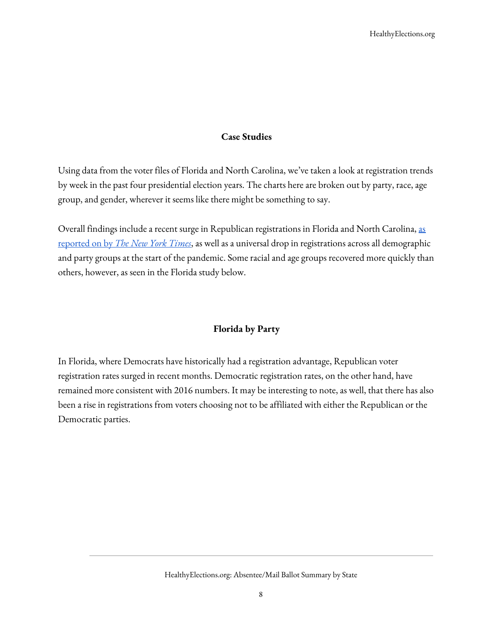#### **Case Studies**

<span id="page-7-0"></span>Using data from the voter files of Florida and North Carolina, we've taken a look at registration trends by week in the past four presidential election years. The charts here are broken out by party, race, age group, and gender, wherever it seems like there might be something to say.

Overall findings include a recent surge in Republican registrations in Florida and North Carolina, [as](https://www.nytimes.com/2020/10/19/us/politics/vote-registration-Florida-North-Carolina-Pennsylvania.html) [reported](https://www.nytimes.com/2020/10/19/us/politics/vote-registration-Florida-North-Carolina-Pennsylvania.html) on by *The New York [Times](https://www.nytimes.com/2020/10/19/us/politics/vote-registration-Florida-North-Carolina-Pennsylvania.html)*, as well as a universal drop in registrations across all demographic and party groups at the start of the pandemic. Some racial and age groups recovered more quickly than others, however, as seen in the Florida study below.

#### **Florida by Party**

<span id="page-7-1"></span>In Florida, where Democrats have historically had a registration advantage, Republican voter registration rates surged in recent months. Democratic registration rates, on the other hand, have remained more consistent with 2016 numbers. It may be interesting to note, as well, that there has also been a rise in registrations from voters choosing not to be affiliated with either the Republican or the Democratic parties.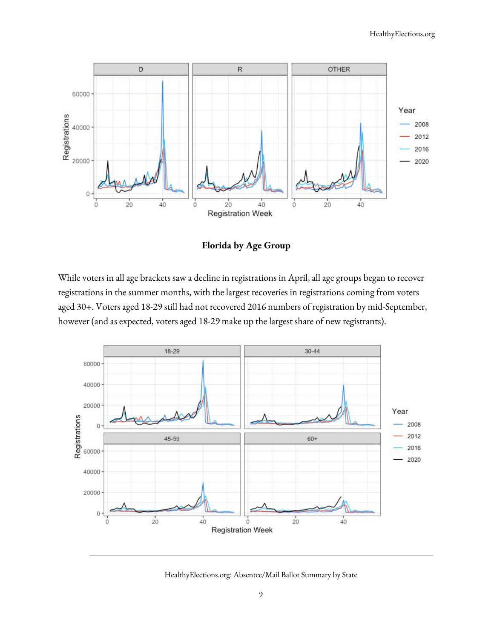

**Florida by Age Group**

<span id="page-8-0"></span>While voters in all age brackets saw a decline in registrations in April, all age groups began to recover registrations in the summer months, with the largest recoveries in registrations coming from voters aged 30+. Voters aged 18-29 still had not recovered 2016 numbers of registration by mid-September, however (and as expected, voters aged 18-29 make up the largest share of new registrants).



HealthyElections.org: Absentee/Mail Ballot Summary by State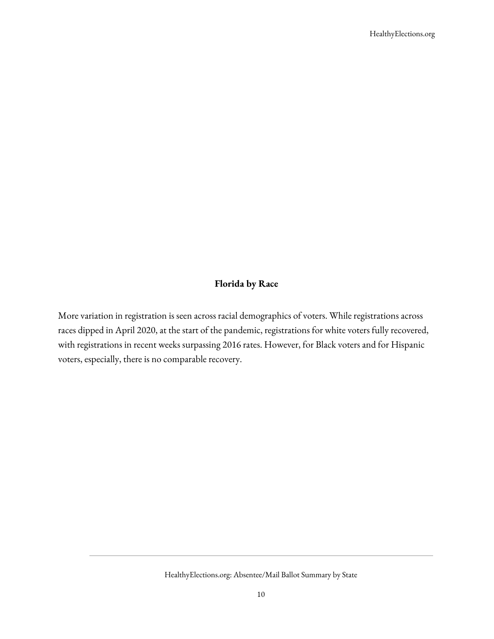#### **Florida by Race**

<span id="page-9-0"></span>More variation in registration is seen across racial demographics of voters. While registrations across races dipped in April 2020, at the start of the pandemic, registrations for white voters fully recovered, with registrations in recent weeks surpassing 2016 rates. However, for Black voters and for Hispanic voters, especially, there is no comparable recovery.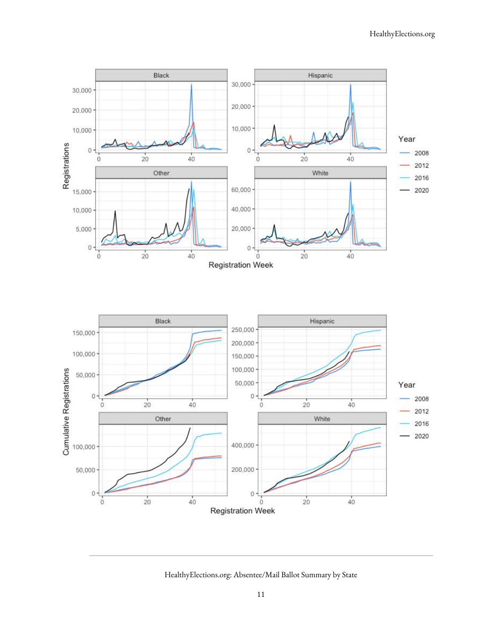#### HealthyElections.org



HealthyElections.org: Absentee/Mail Ballot Summary by State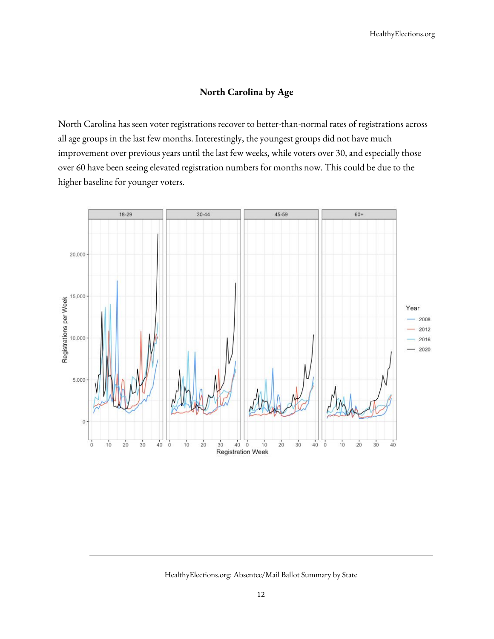#### **North Carolina by Age**

<span id="page-11-0"></span>North Carolina has seen voter registrations recover to better-than-normal rates of registrations across all age groups in the last few months. Interestingly, the youngest groups did not have much improvement over previous years until the last few weeks, while voters over 30, and especially those over 60 have been seeing elevated registration numbers for months now. This could be due to the higher baseline for younger voters.



HealthyElections.org: Absentee/Mail Ballot Summary by State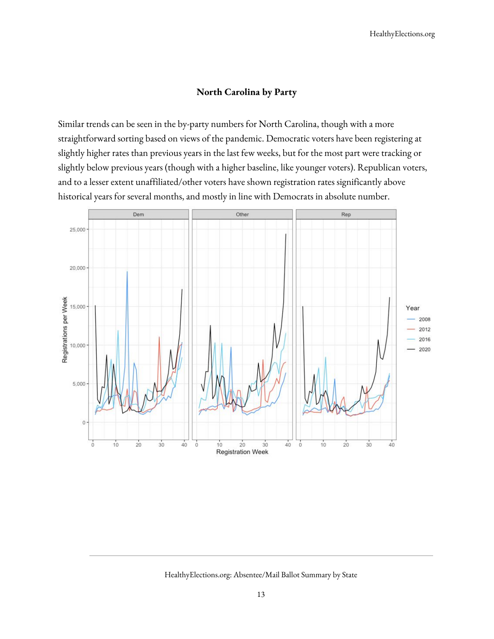#### **North Carolina by Party**

<span id="page-12-0"></span>Similar trends can be seen in the by-party numbers for North Carolina, though with a more straightforward sorting based on views of the pandemic. Democratic voters have been registering at slightly higher rates than previous years in the last few weeks, but for the most part were tracking or slightly below previous years (though with a higher baseline, like younger voters). Republican voters, and to a lesser extent unaffiliated/other voters have shown registration rates significantly above historical years for several months, and mostly in line with Democrats in absolute number.



HealthyElections.org: Absentee/Mail Ballot Summary by State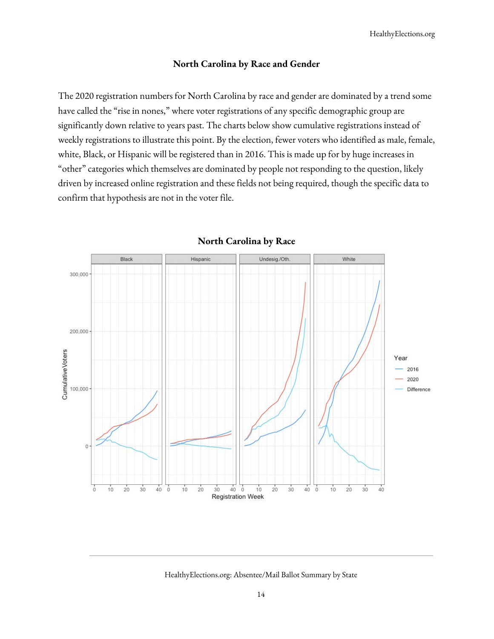#### **North Carolina by Race and Gender**

<span id="page-13-0"></span>The 2020 registration numbers for North Carolina by race and gender are dominated by a trend some have called the "rise in nones," where voter registrations of any specific demographic group are significantly down relative to years past. The charts below show cumulative registrations instead of weekly registrations to illustrate this point. By the election, fewer voters who identified as male, female, white, Black, or Hispanic will be registered than in 2016. This is made up for by huge increases in "other" categories which themselves are dominated by people not responding to the question, likely driven by increased online registration and these fields not being required, though the specific data to confirm that hypothesis are not in the voter file.



#### **North Carolina by Race**

HealthyElections.org: Absentee/Mail Ballot Summary by State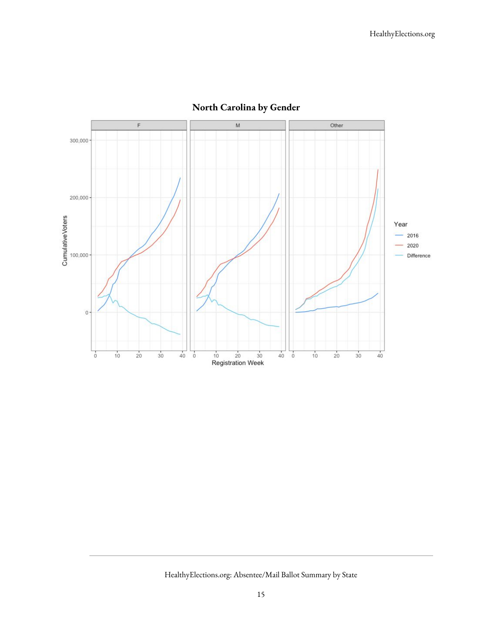

**North Carolina by Gender**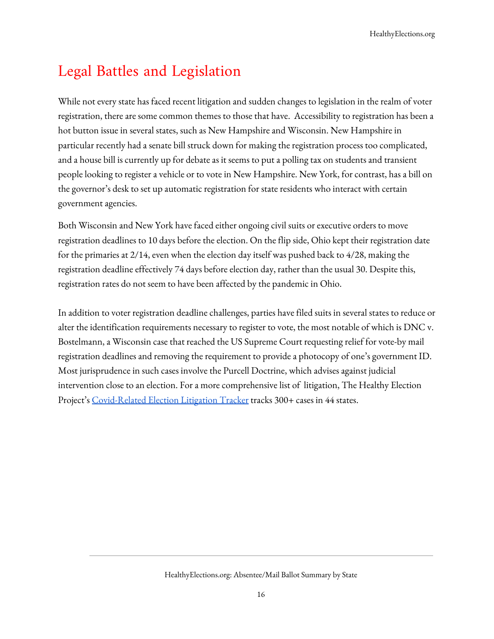### <span id="page-15-0"></span>Legal Battles and Legislation

While not every state has faced recent litigation and sudden changes to legislation in the realm of voter registration, there are some common themes to those that have. Accessibility to registration has been a hot button issue in several states, such as New Hampshire and Wisconsin. New Hampshire in particular recently had a senate bill struck down for making the registration process too complicated, and a house bill is currently up for debate as it seems to put a polling tax on students and transient people looking to register a vehicle or to vote in New Hampshire. New York, for contrast, has a bill on the governor's desk to set up automatic registration for state residents who interact with certain government agencies.

Both Wisconsin and New York have faced either ongoing civil suits or executive orders to move registration deadlines to 10 days before the election. On the flip side, Ohio kept their registration date for the primaries at 2/14, even when the election day itself was pushed back to 4/28, making the registration deadline effectively 74 days before election day, rather than the usual 30. Despite this, registration rates do not seem to have been affected by the pandemic in Ohio.

In addition to voter registration deadline challenges, parties have filed suits in several states to reduce or alter the identification requirements necessary to register to vote, the most notable of which is DNC v. Bostelmann, a Wisconsin case that reached the US Supreme Court requesting relief for vote-by mail registration deadlines and removing the requirement to provide a photocopy of one's government ID. Most jurisprudence in such cases involve the Purcell Doctrine, which advises against judicial intervention close to an election. For a more comprehensive list of litigation, The Healthy Election Project's [Covid-Related](https://healthyelections-case-tracker.stanford.edu/) Election Litigation Tracker tracks 300+ cases in 44 states.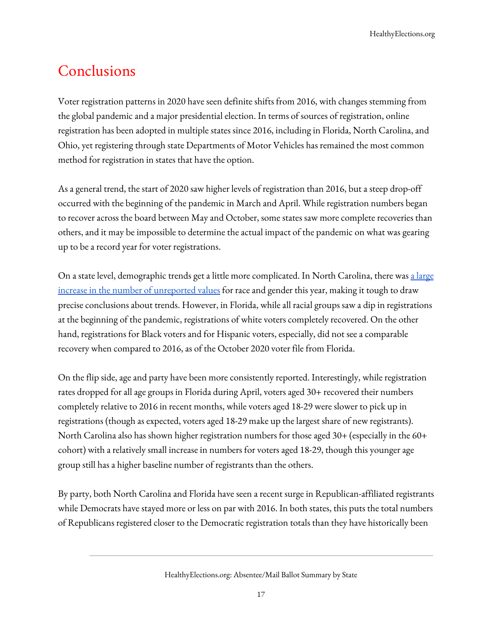HealthyElections.org

### <span id="page-16-0"></span>Conclusions

Voter registration patterns in 2020 have seen definite shifts from 2016, with changes stemming from the global pandemic and a major presidential election. In terms of sources of registration, online registration has been adopted in multiple states since 2016, including in Florida, North Carolina, and Ohio, yet registering through state Departments of Motor Vehicles has remained the most common method for registration in states that have the option.

As a general trend, the start of 2020 saw higher levels of registration than 2016, but a steep drop-off occurred with the beginning of the pandemic in March and April. While registration numbers began to recover across the board between May and October, some states saw more complete recoveries than others, and it may be impossible to determine the actual impact of the pandemic on what was gearing up to be a record year for voter registrations.

On a state level, demographic trends get a little more complicated. In North Carolina, there was a [large](http://www.oldnorthstatepolitics.com/2020/08/lay-of-political-land-nc-voters.html) increase in the number of [unreported](http://www.oldnorthstatepolitics.com/2020/08/lay-of-political-land-nc-voters.html) values for race and gender this year, making it tough to draw precise conclusions about trends. However, in Florida, while all racial groups saw a dip in registrations at the beginning of the pandemic, registrations of white voters completely recovered. On the other hand, registrations for Black voters and for Hispanic voters, especially, did not see a comparable recovery when compared to 2016, as of the October 2020 voter file from Florida.

On the flip side, age and party have been more consistently reported. Interestingly, while registration rates dropped for all age groups in Florida during April, voters aged 30+ recovered their numbers completely relative to 2016 in recent months, while voters aged 18-29 were slower to pick up in registrations (though as expected, voters aged 18-29 make up the largest share of new registrants). North Carolina also has shown higher registration numbers for those aged 30+ (especially in the 60+ cohort) with a relatively small increase in numbers for voters aged 18-29, though this younger age group still has a higher baseline number of registrants than the others.

By party, both North Carolina and Florida have seen a recent surge in Republican-affiliated registrants while Democrats have stayed more or less on par with 2016. In both states, this puts the total numbers of Republicans registered closer to the Democratic registration totals than they have historically been

HealthyElections.org: Absentee/Mail Ballot Summary by State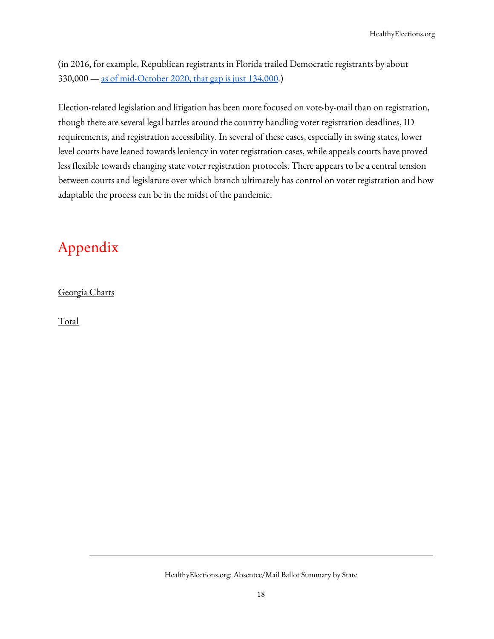(in 2016, for example, Republican registrants in Florida trailed Democratic registrants by about 330,000 — as of [mid-October](https://www.nytimes.com/2020/10/19/us/politics/vote-registration-Florida-North-Carolina-Pennsylvania.html) 2020, that gap is just 134,000.)

Election-related legislation and litigation has been more focused on vote-by-mail than on registration, though there are several legal battles around the country handling voter registration deadlines, ID requirements, and registration accessibility. In several of these cases, especially in swing states, lower level courts have leaned towards leniency in voter registration cases, while appeals courts have proved less flexible towards changing state voter registration protocols. There appears to be a central tension between courts and legislature over which branch ultimately has control on voter registration and how adaptable the process can be in the midst of the pandemic.

## <span id="page-17-0"></span>Appendix

Georgia Charts

Total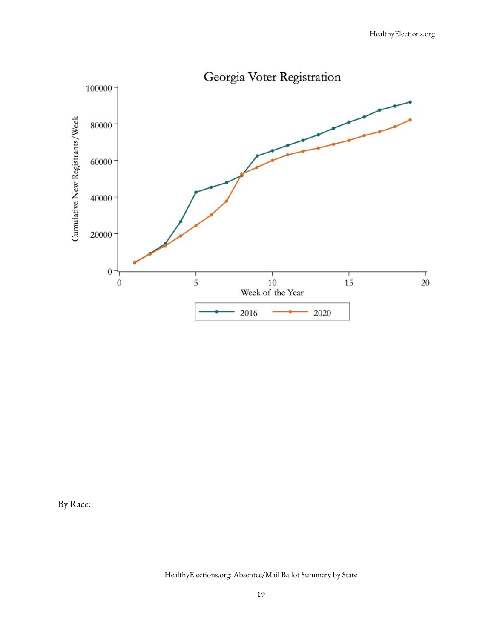

By Race: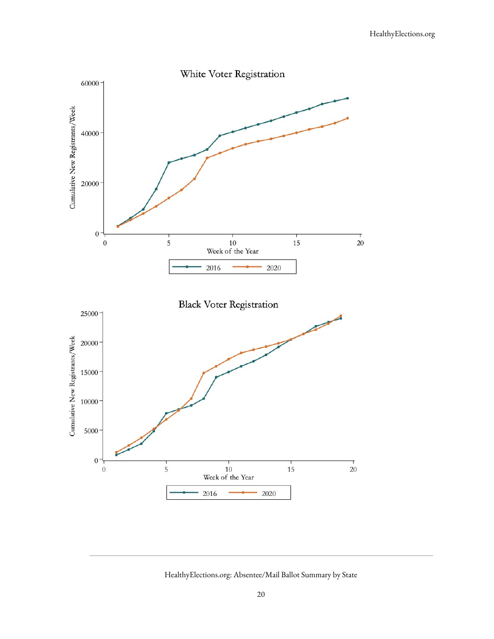

HealthyElections.org: Absentee/Mail Ballot Summary by State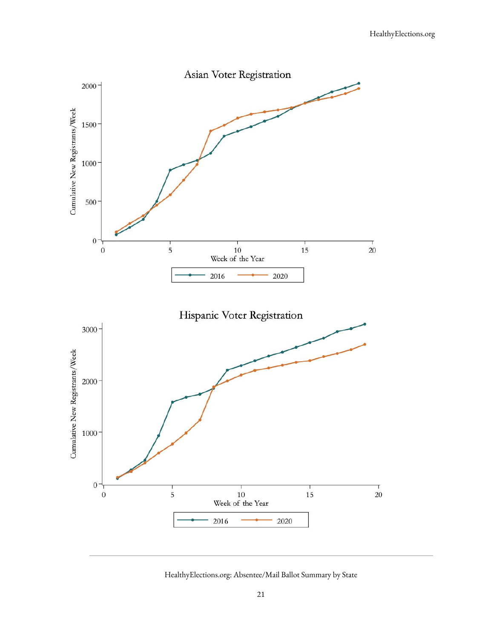

HealthyElections.org: Absentee/Mail Ballot Summary by State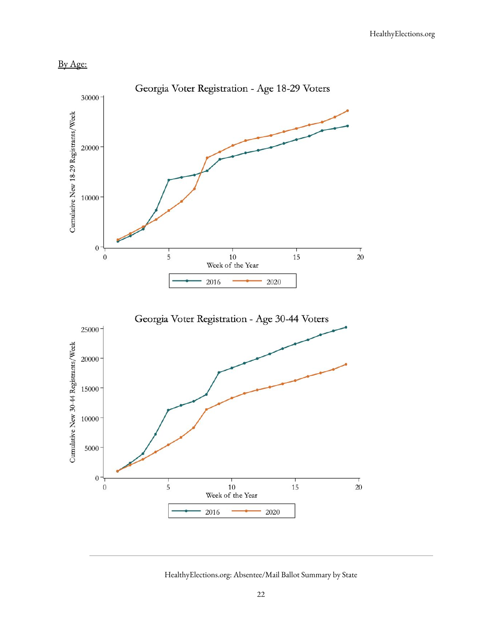



HealthyElections.org: Absentee/Mail Ballot Summary by State